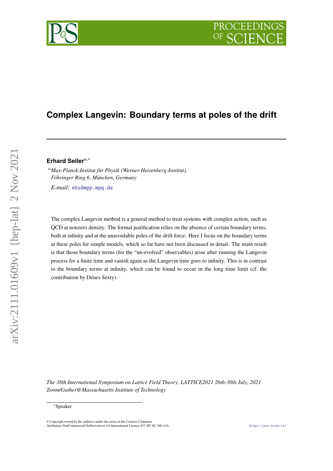# **Complex Langevin: Boundary terms at poles of the drift**

### **Erhard Seiler**,<sup>∗</sup>

*Max-Planck-Institut für Physik (Werner-Heisenberg-Institut), Föhringer Ring 6, München, Germany E-mail:* [ehs@mpp.mpg.de](mailto:{ehs@mpp.mpg.de})

The complex Langevin method is a general method to treat systems with complex action, such as QCD at nonzero density. The formal justification relies on the absence of certain boundary terms, both at infinity and at the unavoidable poles of the drift force. Here I focus on the boundary terms at these poles for simple models, which so far have not been discussed in detail. The main result is that those boundary terms (for the "un-evolved" observables) arise after running the Langevin process for a finite time and vanish again as the Langevin time goes to infinity. This is in contrast to the boundary terms at infinity, which can be found to occur in the long time limit (cf. the contribution by Dénes Sexty).

*The 38th International Symposium on Lattice Field Theory, LATTICE2021 26th-30th July, 2021 Zoom/Gather@Massachusetts Institute of Technology*



<sup>∗</sup>Speaker

 $\odot$  Copyright owned by the author(s) under the terms of the Creative Common Attribution-NonCommercial-NoDerivatives 4.0 International License (CC BY-NC-ND 4.0). <https://pos.sissa.it/>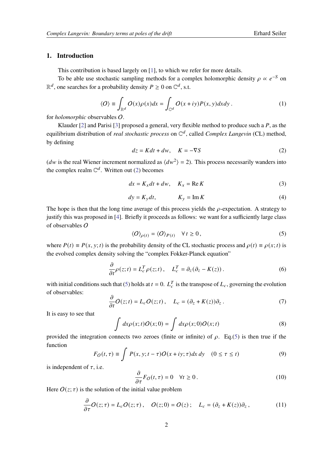### **1. Introduction**

This contribution is based largely on [\[1\]](#page-6-0), to which we refer for more details.

To be able use stochastic sampling methods for a complex holomorphic density  $\rho \propto e^{-S}$  on  $\mathbb{R}^d$ , one searches for a probability density  $P \ge 0$  on  $\mathbb{C}^d$ , s.t.

$$
\langle O \rangle \equiv \int_{\mathbb{R}^d} O(x) \rho(x) dx = \int_{\mathbb{C}^d} O(x + iy) P(x, y) dx dy.
$$
 (1)

for *holomorphic* observables O.

Klauder [\[2\]](#page-6-1) and Parisi [\[3\]](#page-6-2) proposed a general, very flexible method to produce such a  $P$ , as the equilibrium distribution of *real stochastic process* on  $\mathbb{C}^d$ , called *Complex Langevin* (CL) method, by defining

<span id="page-1-0"></span>
$$
dz = Kdt + dw, \quad K = -\nabla S \tag{2}
$$

(*dw* is the real Wiener increment normalized as  $\langle dw^2 \rangle = 2$ ). This process necessarily wanders into the complex realm  $\mathbb{C}^d$ . Written out [\(2\)](#page-1-0) becomes

$$
dx = K_x dt + dw, \quad K_x = \text{Re } K \tag{3}
$$

$$
dy = K_y dt, \t K_y = \text{Im } K \t (4)
$$

The hope is then that the long time average of this process yields the  $\rho$ -expectation. A strategy to justify this was proposed in [\[4\]](#page-6-3). Briefly it proceeds as follows: we want for a sufficiently large class of observables O

<span id="page-1-1"></span>
$$
\langle O \rangle_{\rho(t)} = \langle O \rangle_{P(t)} \quad \forall \, t \ge 0, \tag{5}
$$

where  $P(t) \equiv P(x, y; t)$  is the probability density of the CL stochastic process and  $\rho(t) \equiv \rho(x; t)$  is the evolved complex density solving the "complex Fokker-Planck equation"

$$
\frac{\partial}{\partial t}\rho(z;t) = L_c^T \rho(z;t) \,, \quad L_c^T = \partial_z(\partial_z - K(z)) \,.
$$

with initial conditions such that [\(5\)](#page-1-1) holds at  $t = 0$ .  $L_c^T$  is the transpose of  $L_c$ , governing the evolution of observables:

$$
\frac{\partial}{\partial t}O(z;t) = L_c O(z;t), \quad L_c = (\partial_z + K(z))\partial_z.
$$
 (7)

It is easy to see that

$$
\int dx \rho(x;t) O(x;0) = \int dx \rho(x;0) O(x;t)
$$
\n(8)

provided the integration connects two zeroes (finite or infinite) of  $\rho$ . Eq.[\(5\)](#page-1-1) is then true if the function

$$
F_O(t,\tau) \equiv \int P(x,y;t-\tau)O(x+iy;\tau)dx\,dy \quad (0 \le \tau \le t)
$$
\n(9)

is independent of  $\tau$ , i.e.

<span id="page-1-2"></span>
$$
\frac{\partial}{\partial \tau} F_O(t, \tau) = 0 \quad \forall t \ge 0.
$$
\n(10)

Here  $O(z; \tau)$  is the solution of the initial value problem

$$
\frac{\partial}{\partial \tau} O(z;\tau) = L_c O(z;\tau), \quad O(z;0) = O(z); \quad L_c = (\partial_z + K(z))\partial_z, \tag{11}
$$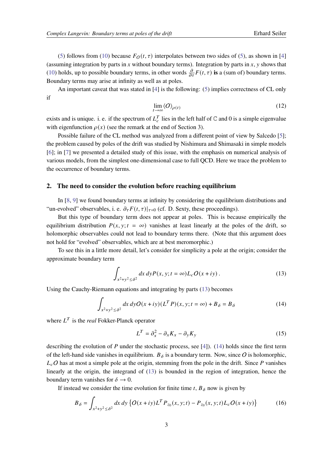[\(5\)](#page-1-1) follows from [\(10\)](#page-1-2) because  $F_O(t, \tau)$  interpolates between two sides of (5), as shown in [\[4\]](#page-6-3) (assuming integration by parts in x without boundary terms). Integration by parts in x, y shows that [\(10\)](#page-1-2) holds, up to possible boundary terms, in other words  $\frac{\partial}{\partial \tau}F(t, \tau)$  is a (sum of) boundary terms. Boundary terms may arise at infinity as well as at poles.

An important caveat that was stated in [\[4\]](#page-6-3) is the following: [\(5\)](#page-1-1) implies correctness of CL only if

$$
\lim_{t \to \infty} \langle O \rangle_{\rho(t)} \tag{12}
$$

exists and is unique. i. e. if the spectrum of  $L_c^T$  lies in the left half of  $\mathbb C$  and 0 is a simple eigenvalue with eigenfunction  $\rho(x)$  (see the remark at the end of Section 3).

Possible failure of the CL method was analyzed from a different point of view by Salcedo [\[5\]](#page-6-4); the problem caused by poles of the drift was studied by Nishimura and Shimasaki in simple models [\[6\]](#page-6-5); in [\[7\]](#page-6-6) we presented a detailed study of this issue, with the emphasis on numerical analysis of various models, from the simplest one-dimensional case to full QCD. Here we trace the problem to the occurrence of boundary terms.

### **2. The need to consider the evolution before reaching equilibrium**

In [\[8,](#page-6-7) [9\]](#page-6-8) we found boundary terms at infinity by considering the equilibrium distributions and "un-evolved" observables, i. e.  $\partial_{\tau} F(t, \tau)|_{\tau=0}$  (cf. D. Sexty, these proceedings).

But this type of boundary term does not appear at poles. This is because empirically the equilibrium distribution  $P(x, y; t = \infty)$  vanishes at least linearly at the poles of the drift, so holomorphic observables could not lead to boundary terms there. (Note that this argument does not hold for "evolved" observables, which are at best meromorphic.)

To see this in a little more detail, let's consider for simplicity a pole at the origin; consider the approximate boundary term

<span id="page-2-0"></span>
$$
\int_{x^2+y^2 \le \delta^2} dx \, dy P(x, y; t = \infty) L_c O(x + iy) \,. \tag{13}
$$

Using the Cauchy-Riemann equations and integrating by parts [\(13\)](#page-2-0) becomes

<span id="page-2-1"></span>
$$
\int_{x^2+y^2 \le \delta^2} dx \, dy O(x+iy) (L^T P)(x, y; t = \infty) + B_\delta = B_\delta \tag{14}
$$

where  $L^T$  is the *real* Fokker-Planck operator

$$
L^T = \partial_x^2 - \partial_x K_x - \partial_y K_y \tag{15}
$$

describing the evolution of  $P$  under the stochastic process, see [\[4\]](#page-6-3)). [\(14\)](#page-2-1) holds since the first term of the left-hand side vanishes in equilibrium.  $B_{\delta}$  is a boundary term. Now, since O is holomorphic,  $L_cO$  has at most a simple pole at the origin, stemming from the pole in the drift. Since P vanishes linearly at the origin, the integrand of [\(13\)](#page-2-0) is bounded in the region of integration, hence the boundary term vanishes for  $\delta \to 0$ .

If instead we consider the time evolution for finite time t,  $B_{\delta}$  now is given by

<span id="page-2-2"></span>
$$
B_{\delta} = \int_{x^2 + y^2 \le \delta^2} dx \, dy \, \{ O(x + iy) L^T P_{z_0}(x, y; t) - P_{z_0}(x, y; t) L_c O(x + iy) \}
$$
(16)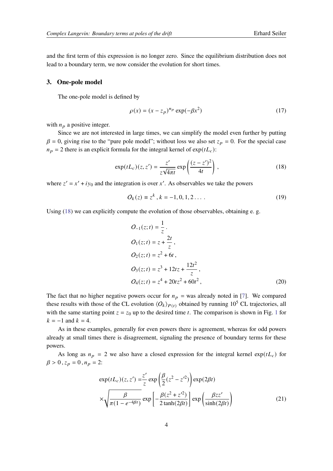and the first term of this expression is no longer zero. Since the equilibrium distribution does not lead to a boundary term, we now consider the evolution for short times.

### **3. One-pole model**

The one-pole model is defined by

$$
\rho(x) = (x - z_p)^{n_p} \exp(-\beta x^2)
$$
\n(17)

with  $n_p$  a positive integer.

Since we are not interested in large times, we can simplify the model even further by putting  $\beta = 0$ , giving rise to the "pure pole model"; without loss we also set  $z_p = 0$ . For the special case  $n_p = 2$  there is an explicit formula for the integral kernel of  $exp(tL_c)$ :

<span id="page-3-0"></span>
$$
\exp(tL_c)(z, z') = \frac{z'}{z\sqrt{4\pi t}} \exp\left(\frac{(z-z')^2}{4t}\right),\tag{18}
$$

where  $z' = x' + iy_0$  and the integration is over x'. As observables we take the powers

$$
O_k(z) \equiv z^k, k = -1, 0, 1, 2 \dots
$$
 (19)

Using [\(18\)](#page-3-0) we can explicitly compute the evolution of those observables, obtaining e. g.

<span id="page-3-1"></span>
$$
O_{-1}(z;t) = \frac{1}{z}.
$$
  
\n
$$
O_1(z;t) = z + \frac{2t}{z},
$$
  
\n
$$
O_2(z;t) = z^2 + 6t,
$$
  
\n
$$
O_3(z;t) = z^3 + 12tz + \frac{12t^2}{z},
$$
  
\n
$$
O_4(z;t) = z^4 + 20tz^2 + 60t^2,
$$
\n(20)

The fact that no higher negative powers occur for  $n_p =$  was already noted in [\[7\]](#page-6-6). We compared these results with those of the CL evolution  $\langle O_k \rangle_{P(t)}$  obtained by running 10<sup>5</sup> CL trajectories, all with the same starting point  $z = z_0$  up to the desired time t. The comparison is shown in Fig. [1](#page-4-0) for  $k = -1$  and  $k = 4$ .

As in these examples, generally for even powers there is agreement, whereas for odd powers already at small times there is disagreement, signaling the presence of boundary terms for these powers.

As long as  $n_p = 2$  we also have a closed expression for the integral kernel  $\exp(tL_c)$  for  $\beta > 0$ ,  $z_p = 0$ ,  $n_p = 2$ :

$$
\exp(tL_c)(z, z') = \frac{z'}{z} \exp\left(\frac{\beta}{2}(z^2 - z'^2)\right) \exp(2\beta t)
$$

$$
\times \sqrt{\frac{\beta}{\pi(1 - e^{-4\beta t})}} \exp\left[-\frac{\beta(z^2 + z'^2)}{2\tanh(2\beta t)}\right] \exp\left(\frac{\beta z z'}{\sinh(2\beta t)}\right) \tag{21}
$$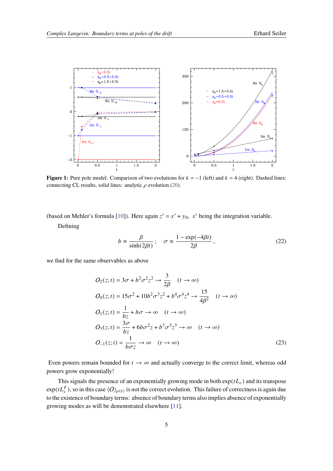<span id="page-4-0"></span>

**Figure 1:** Pure pole model. Comparison of two evolutions for  $k = -1$  (left) and  $k = 4$  (right). Dashed lines: connecting CL results, solid lines: analytic  $\rho$  evolution [\(20\)](#page-3-1).

(based on Mehler's formula [\[10\]](#page-6-9)). Here again  $z' = x' + y_0$ , x' being the integration variable.

Defining

$$
b \equiv \frac{\beta}{\sinh(2\beta t)}; \quad \sigma \equiv \frac{1 - \exp(-4\beta t)}{2\beta}, \tag{22}
$$

we find for the same observables as above

$$
O_2(z;t) = 3\sigma + b^2 \sigma^2 z^2 \rightarrow \frac{3}{2\beta} \quad (t \rightarrow \infty)
$$
  
\n
$$
O_4(z;t) = 15\sigma^2 + 10b^2 \sigma^3 z^2 + b^4 \sigma^4 z^4 \rightarrow \frac{15}{4\beta^2} \quad (t \rightarrow \infty)
$$
  
\n
$$
O_1(z;t) = \frac{1}{bz} + b\sigma \rightarrow \infty \quad (t \rightarrow \infty)
$$
  
\n
$$
O_3(z;t) = \frac{3\sigma}{bz} + 6b\sigma^2 z + b^3 \sigma^3 z^3 \rightarrow \infty \quad (t \rightarrow \infty)
$$
  
\n
$$
O_{-1}(z;t) = \frac{1}{bc\tau} \rightarrow \infty \quad (t \rightarrow \infty)
$$
\n(23)

Even powers remain bounded for  $t \to \infty$  and actually converge to the correct limit, whereas odd powers grow exponentially!

This signals the presence of an exponentially growing mode in both  $\exp(tL_c)$  and its transpose  $exp(tL_C^T)$ , so in this case  $\langle O \rangle_{\rho(t)}$  is *n*ot the correct evolution. This failure of correctness is again due to the existence of boundary terms: absence of boundary terms also implies absence of exponentially growing modes as will be demonstrated elsewhere [\[11\]](#page-6-10).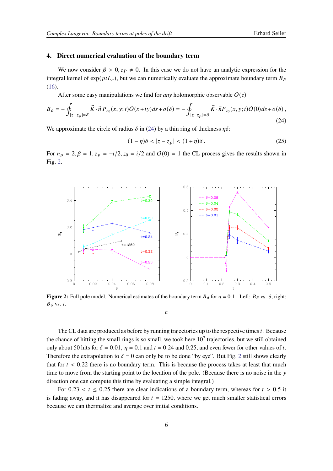#### **4. Direct numerical evaluation of the boundary term**

We now consider  $\beta > 0$ ,  $z_P \neq 0$ . In this case we do not have an analytic expression for the integral kernel of  $exp(ptL<sub>c</sub>)$ , but we can numerically evaluate the approximate boundary term  $B_{\delta}$ [\(16\)](#page-2-2).

After some easy manipulations we find for *any* holomorphic observable  $O(z)$ 

<span id="page-5-0"></span>
$$
B_{\delta} = -\oint_{|z-z_p|= \delta} \vec{K} \cdot \vec{n} P_{z_0}(x, y; t) O(x+iy) ds + o(\delta) = -\oint_{|z-z_p|= \delta} \vec{K} \cdot \vec{n} P_{z_0}(x, y; t) O(0) ds + o(\delta), \tag{24}
$$

We approximate the circle of radius  $\delta$  in [\(24\)](#page-5-0) by a thin ring of thickness  $\eta \delta$ :

$$
(1 - \eta)\delta < |z - z_p| < (1 + \eta)\delta. \tag{25}
$$

For  $n_p = 2$ ,  $\beta = 1$ ,  $z_p = -i/2$ ,  $z_0 = i/2$  and  $O(0) = 1$  the CL process gives the results shown in Fig. [2.](#page-5-1)

<span id="page-5-1"></span>

**Figure 2:** Full pole model. Numerical estimates of the boundary term  $B_{\delta}$  for  $\eta = 0.1$ . Left:  $B_{\delta}$  vs.  $\delta$ , right:  $B_{\delta}$  vs. t.

c

The CL data are produced as before by running trajectories up to the respective times  $t$ . Because the chance of hitting the small rings is so small, we took here  $10<sup>7</sup>$  trajectories, but we still obtained only about 50 hits for  $\delta = 0.01$ ,  $\eta = 0.1$  and  $t = 0.24$  and 0.25, and even fewer for other values of t. Therefore the extrapolation to  $\delta = 0$  can only be to be done "by eye". But Fig. [2](#page-5-1) still shows clearly that for  $t < 0.22$  there is no boundary term. This is because the process takes at least that much time to move from the starting point to the location of the pole. (Because there is no noise in the y direction one can compute this time by evaluating a simple integral.)

For 0.23  $\lt t \leq 0.25$  there are clear indications of a boundary term, whereas for  $t > 0.5$  it is fading away, and it has disappeared for  $t = 1250$ , where we get much smaller statistical errors because we can thermalize and average over initial conditions.